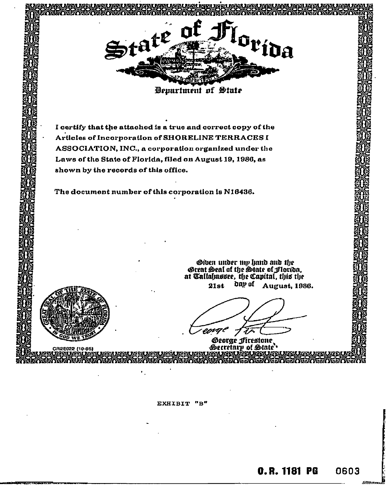

**Department of State** 

I certify that the attached is a true and correct copy of the Articles of Incorporation of SHORELINE TERRACES I ASSOCIATION, INC., a corporation organized under the Laws of the State of Florida, filed on August 19, 1986, as shown by the records of this office.

The document number of this corporation is N16436.

 $(10 - 85)$ 

Given under my hand and the<br>Great Seal of the State of Florida,<br>at Tallahassee, the Capital, this the day of  $21st$ August, 1986.

eoral

George Firestone. Secretary of State<sup>\*</sup>

EXHIBIT "B"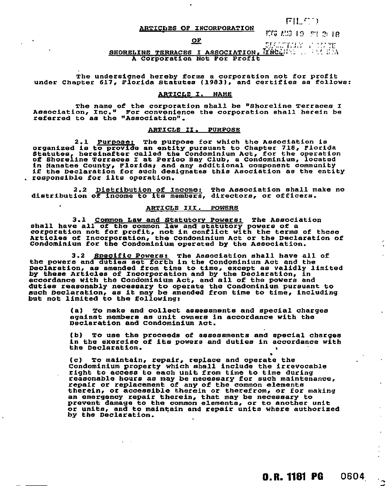ARTICLES OF INCORPORATION

## $FII$   $F^*Y$

r:r;; 7.1 s

# OP

e SHARTANY (1997)<br><mark>Tràcl</mark>any (1998-1998)

SHORELINE TERRACES I ASSOCIATION. A Corporation Not For Profit

The undersigned hereby forms a corporation not for profit under Chapter 617, Florida Statutes (1983), and certifies as follows:

## ARTICLE I. NAME

The name of the corporation shall be "Shoreline Terraces I Association, Inc." For convenience the corporation shall herein be referred to as the "Association".

### ARTICLE II. PURPOSE

2.1 Purpose: The purpose for which the Association is organized is to provide an entity pursuant to Chapter 718, Florida Statutes, hereinafter called the Condominium Act, for the operation of Shoreline Terraces I at Perico Say Club, a Condominium, located in Manatee County, Florida; and any additional component community if the Declaration for such designates this Asociation as the entity . responsible for ilts operation.

2.2 Distribution of Income: The Association shall make no distribution of income to its members, directors, or officers.

### ARTICLE III. POWERS

3.1 Common Law and Statutory Powers: The Association shall have all of the common law and statutory powers of a corporation not for profit, not in conflict with the terms of these Articles of Incorporation, the Condominium Act or the Declaration of Condominium for the Condominium operated by the Association.

3.2 Specific Powers: The Association shall have all of the powers and duties set forth in the Condominium Act and the Declaration, as amended from time to time, except as validly limited by these Articles of Incorporation and by the Declaration, in accordance with the Condominium Act, and all of the powers and duties reasonably necessary to operate the Condominium pursuant to such Declaration, as it may be amended from time to time, including but not limited to the following:

> (a) To make and collect assessments and special charges against members as unit owners in accordance with the Declaration and Condominium Act.

(b) To use the proceeds of assessments and special charges in the exercise of its powers and duties in accordance with the Declaration.

(c) To maintain, repair, replace and operate the Condominium property which shall include the irrevocable right to access to each unit from time to time during reasonable hours as may be necessary for such maintenance, repair or replacement of any of the common elements therein, or accessible therein or therefrom, or for making an emergency repair therein, that may be necessary to prevent damage to the common elements, or to another unit or units, and to maintain and repair units where authorized by the Declaration.

**0.R. 1181 PG 0604** 

 $\omega$ 

 $\mathcal{L}_{\mathcal{A}}$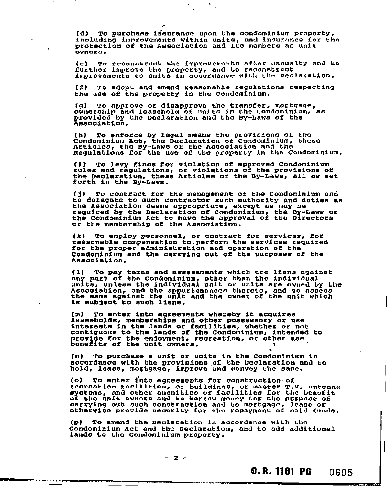(d) To purchase insurance upon the condominium property, including improvements within units, and insurance for the protection of the Association and its members as unit owners.

(e) To reconstruct the improvements after casualty and to further improve the property, and to reconstruct improvements to unite in accordance with the Declaration.

(f) To adopt and amend reasonable regulations respecting the use of the property in the Condominium.

(g) To approve or disapprove the transfer, mortgage, ownership and leasehold of units in the Condominium, as provided by the Declaration and the By-Laws of the Association.

(h) To enforce by legal means the provisions of the Condominium Act, the Declaration of Condominium, these Articles, the By-Laws of the Association and the Regulations for the use of the property in the Condominium.

(i) To levy fines for violation of approved Condominium rules and regulations, or violations of the provisions of the Declaration, these Articles or the By-Laws, all as set forth in the By-Laws.

(1) To contract for the management of the Condominium and to delegate to such contractor such authority and duties as the Association deems appropriate, except as may be required by the Declaration of Condominium, the By-Laws or the Condominium Act to have the approval of the Directors or the membership of the Association.

(k) To employ personnel, or contract for services, for reasonable compensation to.perform the services required for the proper administration and operation of the Condominium and the carrying out of the purposes of the Association.

(1) To pay taxes and assessments which are liens against any part of the Condominium, other than the individual units, unless the individual unit or units are owned by the Association, and the appurtenances thereto, and to assess the same against the unit and the owner of the unit which is subject to such liens.

(M) To enter into agreements whereby it acquires leaseholds, memberships and other possessory or use interests in the lands or facilities, whether or not contiguous to the lands of the Condominium, intended to provide for the enjoyment, recreation, or other use benefits of the unit owners. •

(n) To purchase a unit or unite in the Condominium in accordance with the provisions of the Declaration and to hold, lease, mortgage, improve and convey the same.

(o) To enter into agreements for construction of recreation facilities, or buildings, or master T.V. antenna systems, and other amenities or facilities for the benefit of the unit owners and to borrow money for the purpose of carrying out such construction and to mortgage, lease or otherwise provide security for the repayment of said funds.

(p) To amend the Declaration in accordance with the Condominium Act and the Declaration, and to add additional lands to the Condominium property.

 $-2 -$ 

0.R. 1181 PG 0605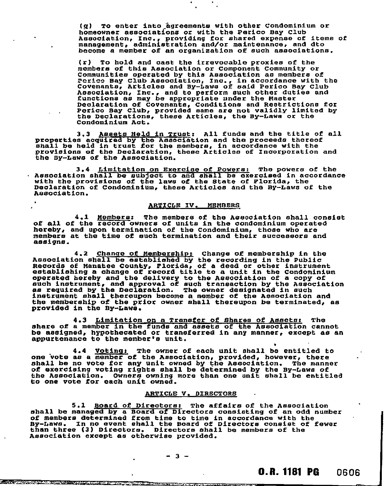(g) To enter into agreements with other Condominium or homeowner associations or with the Perico Bay Club Association, Inc., providing for shared expense of items of management, administration and/or maintenance, and dto become a member of an organization of such associations.

•

(r) To hold and cast the irrevocable proxies of the members of this Association or Component Community or Communities operated by this Association as members of Perico Bay Club Association, Inc., in accordance with the Covenants, Articles and By-Laws of said Perico Bay Club Association, Inc., and to perform such other duties and functions as may be appropriate under the Master Declaration of Covenants, Conditions and Restrictions for Perico Bay Club, provided name are not validly limited by the Declarations, these Articles, the By-Laws or the Condominium Act.

3.3 Assets Held in Trust: All funds and the title of all properties acquired by the Association and the proceeds thereof shall be held in trust for the members, in accordance with the provisions of the Declaration, these Articles of Incorporation and the By-Laws of the Association.

3.4 Limitation on Exercise of Powers: The powers of the Association shall be subject to and shall be exercised in accordance with the provisions of the laws of the State of Florida, the Declaration of Condominium, these Articles and the By-Laws of the Association.

# ARTICLE IV. MEMBERS

4.1 Members: The members of the Association shall consist of all of the record owners of units in the condominium operated hereby, and upon termination of the Condominium, those who are members at the time of such termination and their successors and assigns.

4.2 Change of Membership: Change of membership in the Association shall be established by the recording in the Public Records of Manatee County, Florida, of a deed or other instrument establishing a change of record title to a unit in the Condominium operated hereby and the delivery to the Association of a copy of such instrument, and approval of such transaction by the Association as required by the Declaration. The owner designated in such instrument shall thereupon become a member of the Association and the membership of the prior owner shall thereupon be terminated, as provided in the By-Laws.

4.3 Limitation on a Transfer of Shares of Assets: The share of a member in the funds and assets of the Association cannot be assigned, hypothecated or transferred in any manner, except as an appurtenance to the member's unit.

4.4 Voting: The owner of each unit shall be entitled to one 'vote as a member of the Association, provided, however, there shall be no vote for any unit owned by the Association. The manner of exercising voting rights shall be determined by the By-Laws of the Association. Owners owning more than one unit shall be entitled to one vote for each unit owned.

## ARTICLE V, DIRECTORS

5.1 Board of Directors: The affairs of the Association shall be managed by a Board of Directors consisting of an odd number of members determined from time to time in accordance with the By-Laws. In no event shall the Board of Directors consist of fewer than three (3) Directors. Directors shall be members of the Association except as otherwise provided.

 $-3 -$ 

•

n<del>ommer and sprinter and produce</del>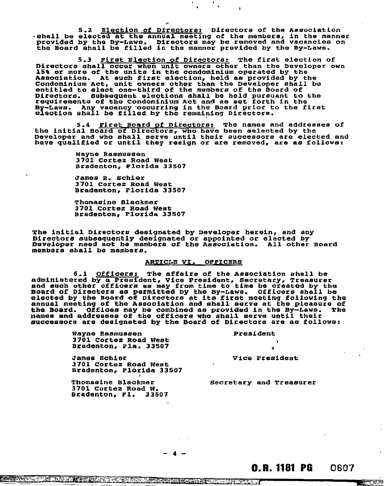5.2 Election of Directors: Directors of the Association .shall be elected at the annual meeting of the members, in the manner provided by the By-Laws. Directors may be removed and vacancies on the Board shall be filled in the manner provided by the By-Laws.

5.3 First Election of Directors: The first election of Directors shall occur when unit owners other than the Developer own 15% or more of the units in the condominium operated by the Association. At such first election, held as provided by the Condominium Act, unit owners other than the Developer shall be entitled to elect one-third of the members of the Board of Directors. Subsequent elections shall be held pursuant to the requirements of the Condominium Act and as set forth in the By-Laws. Any vacancy -occurring in the Board prior to the first election shall be filled by the remaining Directors.

5.4 First Board of Directors: The names and addresses of<br>the initial Board of Directors, who have been selected by the<br>Developer and who shall serve until their guogesacrs are elected an Developer and who shall serve until their successors are elected and have qualified or until they resign or are removed, are as follows:

> Wayne Rasmussen 3701 Cortez Road West Bradenton, Florida 33507

James R. Schier 3701 Cortez Road West Bradenton, Florida 33507

Thomasine Blackmer 3701 Cortez Road West Bradenton, Florida 33507

The initial Directors designated by Developer herein, and any Directors subsequently designated or appointed or elected by Developer need not be members of the Association. All other Board members shall be members.

## ARTICLE VI. OFFICERS

6.1 Officers: The affairs of the Association shall be administered by a President, Vice President, Secretary, Treasurer and such other officers as may from time to time be created by the Board of Directors as permitted by the By-Laws. Officers shall be elected by the Board of Directors at its first meeting following the annual meeting of the Association and shall serve at the pleasure of the Board. Offices may be combined as provided in the By-Laws. The names and addresses of the officers who shall serve until their successors are designated by the Board of Directors are as follows:

> Wayne Rasmussen President 3701 Cortez Road West Bradenton, Fla. 33507

James Schier 3701 Cortez Road West Bradenton, Florida 33507

Thomasine Blackmer 3701 Cortez Road W. Bradenton, Fl. 33507

vice President

Secretary and Treasurer

4

<u>कान्तरपुर एक</u>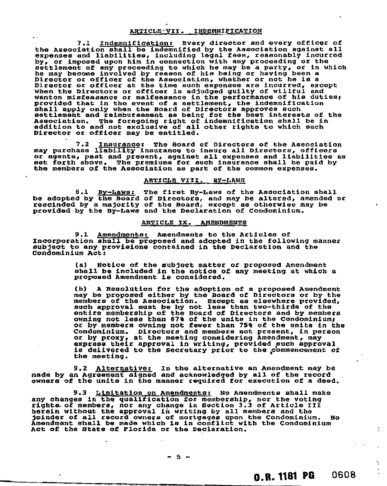### ARTICLE-VII. INDEMNIFICATION

7.1 Indemnification: Every director and every officer of the Association shall be indemnified by the Association against all expenses and liabilities, including legal fees, reasonably incurred by, or imposed upon him in connection with any proceeding or the settlement of any proceeding to which he may be a party, or in which he may become involved by reason of his being or having been a Director or officer of the Association, whether or not he is a Director or officer at the time such expenses are incurred, except when the Directors or officer is adjudged guilty of willful and wanton misfeasance or malfeasance in the performance of his duties, provided that in the event of a settlement, the indemnification shall apply only when the Board of Directors approves such settlement and reimbursement as being for the best interests of the Association. The foregoing right of indemnification shall be in addition to and not exclusive of all other rights to which such Director or officer may be entitled.

7.2 Insurance: The Board of Directors of the Association may purchase liability insurance to insure all Directors, officers or agents, past and present, against all expenses and liabilities as set forth above. The premiums for such insurance shall be paid by the members of the Association as part of the common expenses.

### ARTICLE VIII. BY-LAWS

8.1 By-Laws: The first By-Laws of the Association shall be adopted by the Board of Directors, and may be altered, amended or rescinded by a majority of the Board, except as otherwise may be provided by the By-Laws and the Declaration of Condominium.

# ARTICLE IX. AMENDMENTS

9.1 Amendments: Amendments to the Articles of Incorporation shall be proposed and adopted in the following manner subject to any provisions contained in the Declaration and the Condominium Act:

> (a) Notice of the subject matter or proposed Amendment shall be included in the notice of any meeting at which a proposed Amendment is considered.

(b) A Resolution for the adoption of a proposed Amendment may be proposed either by the Board of Directors or by the members of the Association. Except as elsewhere provided, such approval must be by not less than two-thirds of the entire membership of the Board of Directors and by members owning not less than 67% of the units in the Condominiums or by members owning not fewer than 75% of the units in the Condominium. Directors and members not present, in person or by proxy, at the meeting considering Amendment, may express their approval in writing, provided such approval<br>is delivered to the Secretary prior to the commencement of the meeting.

9.2 Alternative: In the alternative an Amendment may be made by an Agreement signed and acknowledged by all of the record owners of the units in the manner required for execution of a deed.

9.3 Limitation on Amendments: No Amendments shall make any changes in the qualification for membership, nor the voting rights. of members, nor any change in Section 3.3 of Article III herein without the approval in writing by all members and the joinder of all record owners of mortgages upon the Condominium. No Amendment shall be made which is in conflict with the Condominium Act of the State of Florida or the Declaration.

- 5 -